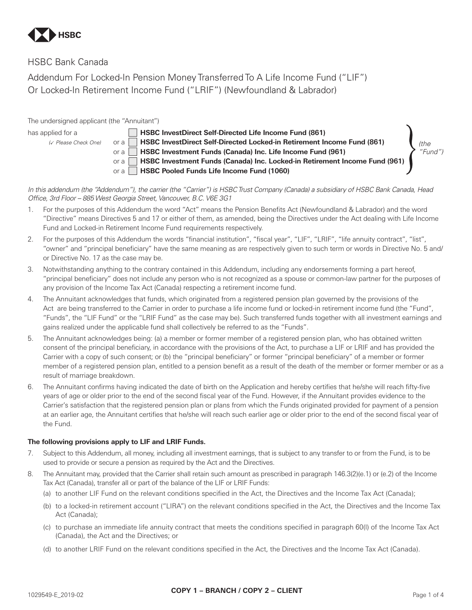

HSBC Bank Canada

Addendum For Locked-In Pension Money Transferred To A Life Income Fund ("LIF") Or Locked-In Retirement Income Fund ("LRIF") (Newfoundland & Labrador)

## The undersigned applicant (the "Annuitant")

| has applied for a    | HSBC InvestDirect Self-Directed Life Income Fund (861)                                       |         |
|----------------------|----------------------------------------------------------------------------------------------|---------|
| (V Please Check One) | HSBC InvestDirect Self-Directed Locked-in Retirement Income Fund (861)<br>$\alpha$ a $\Box$  | (the    |
|                      | HSBC Investment Funds (Canada) Inc. Life Income Fund (961)<br>$\alpha$ a $\alpha$            | "Fund") |
|                      | HSBC Investment Funds (Canada) Inc. Locked-in Retirement Income Fund (961)  <br>$\alpha$ ral |         |
|                      | HSBC Pooled Funds Life Income Fund (1060)<br>or a                                            |         |

*In this addendum (the "Addendum"), the carrier (the "Carrier") is HSBC Trust Company (Canada) a subsidiary of HSBC Bank Canada, Head Office, 3rd Floor – 885 West Georgia Street, Vancouver, B.C. V6E 3G1*

- 1. For the purposes of this Addendum the word "Act" means the Pension Benefits Act (Newfoundland & Labrador) and the word "Directive" means Directives 5 and 17 or either of them, as amended, being the Directives under the Act dealing with Life Income Fund and Locked-in Retirement Income Fund requirements respectively.
- 2. For the purposes of this Addendum the words "financial institution", "fiscal year", "LIF", "LRIF", "life annuity contract", "list", "owner" and "principal beneficiary" have the same meaning as are respectively given to such term or words in Directive No. 5 and/ or Directive No. 17 as the case may be.
- 3. Notwithstanding anything to the contrary contained in this Addendum, including any endorsements forming a part hereof, "principal beneficiary" does not include any person who is not recognized as a spouse or common-law partner for the purposes of any provision of the Income Tax Act (Canada) respecting a retirement income fund.
- 4. The Annuitant acknowledges that funds, which originated from a registered pension plan governed by the provisions of the Act are being transferred to the Carrier in order to purchase a life income fund or locked-in retirement income fund (the "Fund", "Funds", the "LIF Fund" or the "LRIF Fund" as the case may be). Such transferred funds together with all investment earnings and gains realized under the applicable fund shall collectively be referred to as the "Funds".
- 5. The Annuitant acknowledges being: (a) a member or former member of a registered pension plan, who has obtained written consent of the principal beneficiary, in accordance with the provisions of the Act, to purchase a LIF or LRIF and has provided the Carrier with a copy of such consent; or (b) the "principal beneficiary" or former "principal beneficiary" of a member or former member of a registered pension plan, entitled to a pension benefit as a result of the death of the member or former member or as a result of marriage breakdown.
- 6. The Annuitant confirms having indicated the date of birth on the Application and hereby certifies that he/she will reach fifty-five years of age or older prior to the end of the second fiscal year of the Fund. However, if the Annuitant provides evidence to the Carrier's satisfaction that the registered pension plan or plans from which the Funds originated provided for payment of a pension at an earlier age, the Annuitant certifies that he/she will reach such earlier age or older prior to the end of the second fiscal year of the Fund.

### **The following provisions apply to LIF and LRIF Funds.**

- 7. Subject to this Addendum, all money, including all investment earnings, that is subject to any transfer to or from the Fund, is to be used to provide or secure a pension as required by the Act and the Directives.
- 8. The Annuitant may, provided that the Carrier shall retain such amount as prescribed in paragraph 146.3(2)(e.1) or (e.2) of the Income Tax Act (Canada), transfer all or part of the balance of the LIF or LRIF Funds:
	- (a) to another LIF Fund on the relevant conditions specified in the Act, the Directives and the Income Tax Act (Canada);
	- (b) to a locked-in retirement account ("LIRA") on the relevant conditions specified in the Act, the Directives and the Income Tax Act (Canada);
	- (c) to purchase an immediate life annuity contract that meets the conditions specified in paragraph 60(l) of the Income Tax Act (Canada), the Act and the Directives; or
	- (d) to another LRIF Fund on the relevant conditions specified in the Act, the Directives and the Income Tax Act (Canada).

## **COPY 1 – BRANCH / COPY 2 – CLIENT** 1029549-E\_2019-02 Page 1 of 4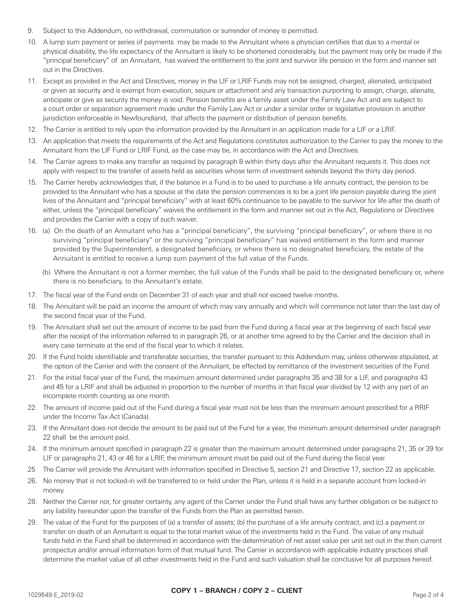- 9. Subject to this Addendum, no withdrawal, commutation or surrender of money is permitted.
- 10. A lump sum payment or series of payments may be made to the Annuitant where a physician certifies that due to a mental or physical disability, the life expectancy of the Annuitant is likely to be shortened considerably, but the payment may only be made if the "principal beneficiary" of an Annuitant, has waived the entitlement to the joint and survivor life pension in the form and manner set out in the Directives.
- 11. Except as provided in the Act and Directives, money in the LIF or LRIF Funds may not be assigned, charged, alienated, anticipated or given as security and is exempt from execution, seizure or attachment and any transaction purporting to assign, charge, alienate, anticipate or give as security the money is void. Pension benefits are a family asset under the Family Law Act and are subject to a court order or separation agreement made under the Family Law Act or under a similar order or legislative provision in another jurisdiction enforceable in Newfoundland, that affects the payment or distribution of pension benefits.
- 12. The Carrier is entitled to rely upon the information provided by the Annuitant in an application made for a LIF or a LRIF.
- 13. An application that meets the requirements of the Act and Regulations constitutes authorization to the Carrier to pay the money to the Annuitant from the LIF Fund or LRIF Fund, as the case may be, in accordance with the Act and Directives.
- 14. The Carrier agrees to make any transfer as required by paragraph 8 within thirty days after the Annuitant requests it. This does not apply with respect to the transfer of assets held as securities whose term of investment extends beyond the thirty day period.
- 15. The Carrier hereby acknowledges that, if the balance in a Fund is to be used to purchase a life annuity contract, the pension to be provided to the Annuitant who has a spouse at the date the pension commences is to be a joint life pension payable during the joint lives of the Annuitant and "principal beneficiary" with at least 60% continuance to be payable to the survivor for life after the death of either, unless the "principal beneficiary" waives the entitlement in the form and manner set out in the Act, Regulations or Directives and provides the Carrier with a copy of such waiver.
- 16. (a) On the death of an Annuitant who has a "principal beneficiary", the surviving "principal beneficiary", or where there is no surviving "principal beneficiary" or the surviving "principal beneficiary" has waived entitlement in the form and manner provided by the Superintendent, a designated beneficiary, or where there is no designated beneficiary, the estate of the Annuitant is entitled to receive a lump sum payment of the full value of the Funds.
	- (b) Where the Annuitant is not a former member, the full value of the Funds shall be paid to the designated beneficiary or, where there is no beneficiary, to the Annuitant's estate.
- 17. The fiscal year of the Fund ends on December 31 of each year and shall not exceed twelve months.
- 18. The Annuitant will be paid an income the amount of which may vary annually and which will commence not later than the last day of the second fiscal year of the Fund.
- 19. The Annuitant shall set out the amount of income to be paid from the Fund during a fiscal year at the beginning of each fiscal year after the receipt of the information referred to in paragraph 26, or at another time agreed to by the Carrier and the decision shall in every case terminate at the end of the fiscal year to which it relates.
- 20. If the Fund holds identifiable and transferable securities, the transfer pursuant to this Addendum may, unless otherwise stipulated, at the option of the Carrier and with the consent of the Annuitant, be effected by remittance of the investment securities of the Fund.
- 21. For the initial fiscal year of the Fund, the maximum amount determined under paragraphs 35 and 38 for a LIF, and paragraphs 43 and 45 for a LRIF and shall be adjusted in proportion to the number of months in that fiscal year divided by 12 with any part of an incomplete month counting as one month.
- 22. The amount of income paid out of the Fund during a fiscal year must not be less than the minimum amount prescribed for a RRIF under the Income Tax Act (Canada).
- 23. If the Annuitant does not decide the amount to be paid out of the Fund for a year, the minimum amount determined under paragraph 22 shall be the amount paid.
- 24. If the minimum amount specified in paragraph 22 is greater than the maximum amount determined under paragraphs 21, 35 or 39 for LIF or paragraphs 21, 43 or 46 for a LRIF, the minimum amount must be paid out of the Fund during the fiscal year.
- 25 The Carrier will provide the Annuitant with information specified in Directive 5, section 21 and Directive 17, section 22 as applicable.
- 26. No money that is not locked-in will be transferred to or held under the Plan, unless it is held in a separate account from locked-in money.
- 28. Neither the Carrier nor, for greater certainty, any agent of the Carrier under the Fund shall have any further obligation or be subject to any liability hereunder upon the transfer of the Funds from the Plan as permitted herein.
- 29. The value of the Fund for the purposes of (a) a transfer of assets; (b) the purchase of a life annuity contract, and (c) a payment or transfer on death of an Annuitant is equal to the total market value of the investments held in the Fund. The value of any mutual funds held in the Fund shall be determined in accordance with the determination of net asset value per unit set out in the then current prospectus and/or annual information form of that mutual fund. The Carrier in accordance with applicable industry practices shall determine the market value of all other investments held in the Fund and such valuation shall be conclusive for all purposes hereof.

## **COPY 1 – BRANCH / COPY 2 – CLIENT** 1029549-E\_2019-02 Page 2 of 4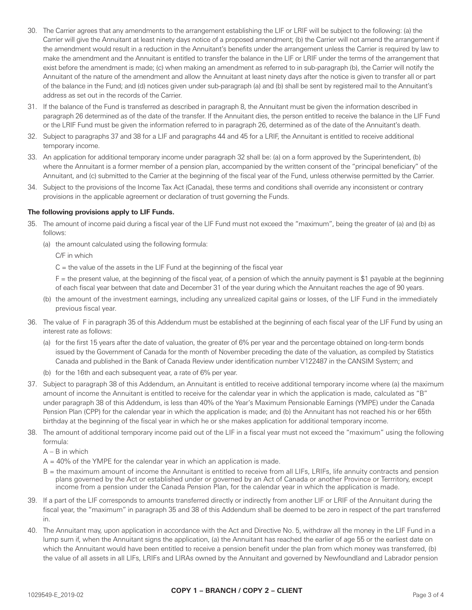- 30. The Carrier agrees that any amendments to the arrangement establishing the LIF or LRIF will be subject to the following: (a) the Carrier will give the Annuitant at least ninety days notice of a proposed amendment; (b) the Carrier will not amend the arrangement if the amendment would result in a reduction in the Annuitant's benefits under the arrangement unless the Carrier is required by law to make the amendment and the Annuitant is entitled to transfer the balance in the LIF or LRIF under the terms of the arrangement that exist before the amendment is made; (c) when making an amendment as referred to in sub-paragraph (b), the Carrier will notify the Annuitant of the nature of the amendment and allow the Annuitant at least ninety days after the notice is given to transfer all or part of the balance in the Fund; and (d) notices given under sub-paragraph (a) and (b) shall be sent by registered mail to the Annuitant's address as set out in the records of the Carrier.
- 31. If the balance of the Fund is transferred as described in paragraph 8, the Annuitant must be given the information described in paragraph 26 determined as of the date of the transfer. If the Annuitant dies, the person entitled to receive the balance in the LIF Fund or the LRIF Fund must be given the information referred to in paragraph 26, determined as of the date of the Annuitant's death.
- 32. Subject to paragraphs 37 and 38 for a LIF and paragraphs 44 and 45 for a LRIF, the Annuitant is entitled to receive additional temporary income.
- 33. An application for additional temporary income under paragraph 32 shall be: (a) on a form approved by the Superintendent, (b) where the Annuitant is a former member of a pension plan, accompanied by the written consent of the "principal beneficiary" of the Annuitant, and (c) submitted to the Carrier at the beginning of the fiscal year of the Fund, unless otherwise permitted by the Carrier.
- 34. Subject to the provisions of the Income Tax Act (Canada), these terms and conditions shall override any inconsistent or contrary provisions in the applicable agreement or declaration of trust governing the Funds.

#### **The following provisions apply to LIF Funds.**

- 35. The amount of income paid during a fiscal year of the LIF Fund must not exceed the "maximum", being the greater of (a) and (b) as follows:
	- (a) the amount calculated using the following formula:

C/F in which

 $C =$  the value of the assets in the LIF Fund at the beginning of the fiscal year

 $F =$  the present value, at the beginning of the fiscal year, of a pension of which the annuity payment is \$1 payable at the beginning of each fiscal year between that date and December 31 of the year during which the Annuitant reaches the age of 90 years.

- (b) the amount of the investment earnings, including any unrealized capital gains or losses, of the LIF Fund in the immediately previous fiscal year.
- 36. The value of F in paragraph 35 of this Addendum must be established at the beginning of each fiscal year of the LIF Fund by using an interest rate as follows:
	- (a) for the first 15 years after the date of valuation, the greater of 6% per year and the percentage obtained on long-term bonds issued by the Government of Canada for the month of November preceding the date of the valuation, as compiled by Statistics Canada and published in the Bank of Canada Review under identification number V122487 in the CANSIM System; and
	- (b) for the 16th and each subsequent year, a rate of 6% per year.
- 37. Subject to paragraph 38 of this Addendum, an Annuitant is entitled to receive additional temporary income where (a) the maximum amount of income the Annuitant is entitled to receive for the calendar year in which the application is made, calculated as "B" under paragraph 38 of this Addendum, is less than 40% of the Year's Maximum Pensionable Earnings (YMPE) under the Canada Pension Plan (CPP) for the calendar year in which the application is made; and (b) the Annuitant has not reached his or her 65th birthday at the beginning of the fiscal year in which he or she makes application for additional temporary income.
- 38. The amount of additional temporary income paid out of the LIF in a fiscal year must not exceed the "maximum" using the following formula:

 $A - B$  in which

- $A = 40\%$  of the YMPE for the calendar year in which an application is made.
- B = the maximum amount of income the Annuitant is entitled to receive from all LIFs, LRIFs, life annuity contracts and pension plans governed by the Act or established under or governed by an Act of Canada or another Province or Terrritory, except income from a pension under the Canada Pension Plan, for the calendar year in which the application is made.
- 39. If a part of the LIF corresponds to amounts transferred directly or indirectly from another LIF or LRIF of the Annuitant during the fiscal year, the "maximum" in paragraph 35 and 38 of this Addendum shall be deemed to be zero in respect of the part transferred in.
- 40. The Annuitant may, upon application in accordance with the Act and Directive No. 5, withdraw all the money in the LIF Fund in a lump sum if, when the Annuitant signs the application, (a) the Annuitant has reached the earlier of age 55 or the earliest date on which the Annuitant would have been entitled to receive a pension benefit under the plan from which money was transferred, (b) the value of all assets in all LIFs, LRIFs and LIRAs owned by the Annuitant and governed by Newfoundland and Labrador pension

# **COPY 1 – BRANCH / COPY 2 – CLIENT** 1029549-E\_2019-02 Page 3 of 4